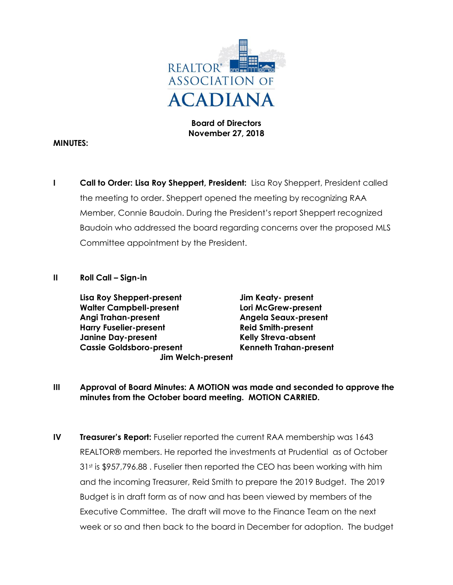

**Board of Directors November 27, 2018**

#### **MINUTES:**

**I Call to Order: Lisa Roy Sheppert, President:** Lisa Roy Sheppert, President called the meeting to order. Sheppert opened the meeting by recognizing RAA Member, Connie Baudoin. During the President's report Sheppert recognized Baudoin who addressed the board regarding concerns over the proposed MLS Committee appointment by the President.

#### **II Roll Call – Sign-in**

**Lisa Roy Sheppert-present Jim Keaty- present Walter Campbell-present Lori McGrew-present Angi Trahan-present Angela Seaux-present Harry Fuselier-present Reid Smith-present Janine Day-present Kelly Streva-absent Cassie Goldsboro-present Kenneth Trahan-present Jim Welch-present**

- **III Approval of Board Minutes: A MOTION was made and seconded to approve the minutes from the October board meeting. MOTION CARRIED.**
- **IV Treasurer's Report:** Fuselier reported the current RAA membership was 1643 REALTOR® members. He reported the investments at Prudential as of October 31<sup>st</sup> is \$957,796.88. Fuselier then reported the CEO has been working with him and the incoming Treasurer, Reid Smith to prepare the 2019 Budget. The 2019 Budget is in draft form as of now and has been viewed by members of the Executive Committee. The draft will move to the Finance Team on the next week or so and then back to the board in December for adoption. The budget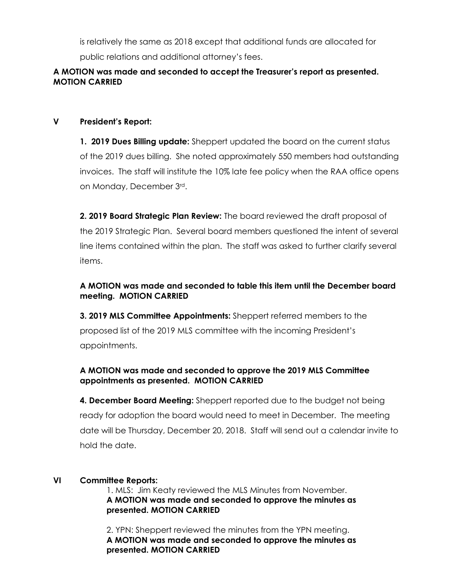is relatively the same as 2018 except that additional funds are allocated for public relations and additional attorney's fees.

### **A MOTION was made and seconded to accept the Treasurer's report as presented. MOTION CARRIED**

## **V President's Report:**

**1. 2019 Dues Billing update:** Sheppert updated the board on the current status of the 2019 dues billing. She noted approximately 550 members had outstanding invoices. The staff will institute the 10% late fee policy when the RAA office opens on Monday, December 3rd.

**2. 2019 Board Strategic Plan Review:** The board reviewed the draft proposal of the 2019 Strategic Plan. Several board members questioned the intent of several line items contained within the plan. The staff was asked to further clarify several items.

## **A MOTION was made and seconded to table this item until the December board meeting. MOTION CARRIED**

**3. 2019 MLS Committee Appointments:** Sheppert referred members to the proposed list of the 2019 MLS committee with the incoming President's appointments.

# **A MOTION was made and seconded to approve the 2019 MLS Committee appointments as presented. MOTION CARRIED**

**4. December Board Meeting:** Sheppert reported due to the budget not being ready for adoption the board would need to meet in December. The meeting date will be Thursday, December 20, 2018. Staff will send out a calendar invite to hold the date.

# **VI Committee Reports:**

1. MLS: Jim Keaty reviewed the MLS Minutes from November. **A MOTION was made and seconded to approve the minutes as presented. MOTION CARRIED**

2. YPN: Sheppert reviewed the minutes from the YPN meeting. **A MOTION was made and seconded to approve the minutes as presented. MOTION CARRIED**